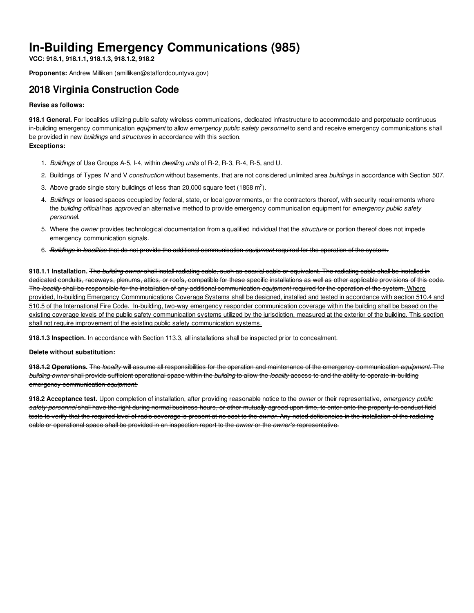# **In-Building Emergency Communications (985)**

**VCC: 918.1, 918.1.1, 918.1.3, 918.1.2, 918.2**

**Proponents:** Andrew Milliken (amilliken@staffordcountyva.gov)

## **2018 Virginia Construction Code**

#### **Revise as follows:**

**918.1 General.** For localities utilizing public safety wireless communications, dedicated infrastructure to accommodate and perpetuate continuous in-building emergency communication *equipment* to allow *emergency public safety personnel* to send and receive emergency communications shall be provided in new *buildings* and *structures* in accordance with this section. **Exceptions:**

- 1. *Buildings* of Use Groups A-5, I-4, within *dwelling units* of R-2, R-3, R-4, R-5, and U.
- 2. Buildings of Types IV and V *construction* without basements, that are not considered unlimited area *buildings* in accordance with Section 507.
- 3. Above grade single story buildings of less than 20,000 square feet (1858 m<sup>2</sup>).
- 4. *Buildings* or leased spaces occupied by federal, state, or local governments, or the contractors thereof, with security requirements where the *building official* has *approved* an alternative method to provide emergency communication equipment for *emergency public safety personne*l.
- 5. Where the *owner* provides technological documentation from a qualified individual that the *structure* or portion thereof does not impede emergency communication signals.
- 6. *Buildings* in *localities* that do not provide the additional communication *equipment* required for the operation of the system.

**918.1.1 Installation.** The *building owner* shall install radiating cable, such as coaxial cable or equivalent. The radiating cable shall be installed in dedicated conduits, raceways, plenums, attics, or roofs, compatible for these specific installations as well as other applicable provisions of this code. The *locality* shall be responsible for the installation of any additional communication *equipment* required for the operation of the system. Where provided, In-building Emergency Commmunications Coverage Systems shall be designed, installed and tested in accordance with section 510.4 and 510.5 of the International Fire Code. In-building, two-way emergency responder communication coverage within the building shall be based on the existing coverage levels of the public safety communication systems utilized by the jurisdiction, measured at the exterior of the building. This section shall not require improvement of the existing public safety communication systems.

**918.1.3 Inspection.** In accordance with Section 113.3, all installations shall be inspected prior to concealment.

#### **Delete without substitution:**

**918.1.2 Operations.** The *locality* will assume all responsibilities for the operation and maintenance of the emergency communication *equipment*. The *building owner* shall provide sufficient operational space within the *building* to allow the *locality* access to and the ability to operate in-building emergency communication *equipment*.

**918.2 Acceptance test.** Upon completion of installation, after providing reasonable notice to the *owner* or their representative, *emergency public safety personnel* shall have the right during normal business hours, or other mutually agreed upon time, to enter onto the property to conduct field tests to verify that the required level of radio coverage is present at no cost to the *owner*. Any noted deficiencies in the installation of the radiating cable or operational space shall be provided in an inspection report to the *owner* or the *owner's* representative.